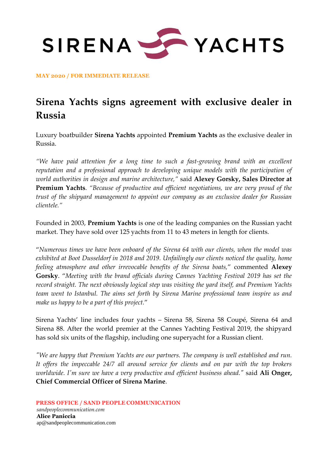

**MAY 2020 / FOR IMMEDIATE RELEASE**

## **Sirena Yachts signs agreement with exclusive dealer in Russia**

Luxury boatbuilder **Sirena Yachts** appointed **Premium Yachts** as the exclusive dealer in Russia.

*"We have paid attention for a long time to such a fast-growing brand with an excellent reputation and a professional approach to developing unique models with the participation of world authorities in design and marine architecture,"* said **Alexey Gorsky, Sales Director at Premium Yachts**. *"Because of productive and efficient negotiations, we are very proud of the trust of the shipyard management to appoint our company as an exclusive dealer for Russian clientele."*

Founded in 2003, **Premium Yachts** is one of the leading companies on the Russian yacht market. They have sold over 125 yachts from 11 to 43 meters in length for clients.

"*Numerous times we have been onboard of the Sirena 64 with our clients, when the model was exhibited at Boot Dusseldorf in 2018 and 2019. Unfailingly our clients noticed the quality, home feeling atmosphere and other irrevocable benefits of the Sirena boats,*" commented **Alexey Gorsky**. "*Meeting with the brand officials during Cannes Yachting Festival 2019 has set the record straight. The next obviously logical step was visiting the yard itself, and Premium Yachts team went to Istanbul. The aims set forth by Sirena Marine professional team inspire us and make us happy to be a part of this project.*"

Sirena Yachts' line includes four yachts – Sirena 58, Sirena 58 Coupé, Sirena 64 and Sirena 88. After the world premier at the Cannes Yachting Festival 2019, the shipyard has sold six units of the flagship, including one superyacht for a Russian client.

*"We are happy that Premium Yachts are our partners. The company is well established and run. It offers the impeccable 24/7 all around service for clients and on par with the top brokers worldwide. I'm sure we have a very productive and efficient business ahead."* said **Ali Onger, Chief Commercial Officer of Sirena Marine**.